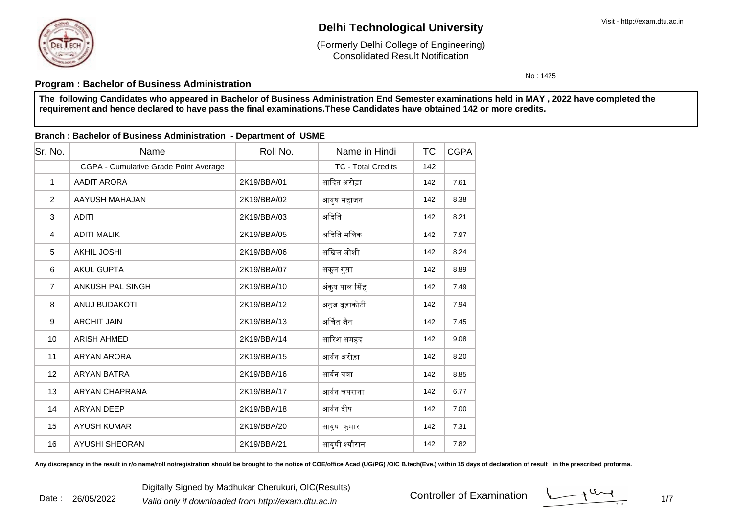

Consolidated Result Notification(Formerly Delhi College of Engineering)

No : 1425

## **Program : Bachelor of Business Administration**

 **The following Candidates who appeared in Bachelor of Business Administration End Semester examinations held in MAY , 2022 have completed therequirement and hence declared to have pass the final examinations.These Candidates have obtained 142 or more credits.**

#### **Branch : Bachelor of Business Administration - Department of USME**

| Sr. No.        | Name                                  | Roll No.    | Name in Hindi             | ТC  | <b>CGPA</b> |
|----------------|---------------------------------------|-------------|---------------------------|-----|-------------|
|                | CGPA - Cumulative Grade Point Average |             | <b>TC - Total Credits</b> | 142 |             |
| $\mathbf{1}$   | AADIT ARORA                           | 2K19/BBA/01 | आदित अरोड़ा               | 142 | 7.61        |
| 2              | AAYUSH MAHAJAN                        | 2K19/BBA/02 | आयुष महाजन                | 142 | 8.38        |
| 3              | <b>ADITI</b>                          | 2K19/BBA/03 | अदिति                     | 142 | 8.21        |
| $\overline{4}$ | <b>ADITI MALIK</b>                    | 2K19/BBA/05 | अदिति मलिक                | 142 | 7.97        |
| 5              | AKHIL JOSHI                           | 2K19/BBA/06 | अखिल जोशी                 | 142 | 8.24        |
| 6              | <b>AKUL GUPTA</b>                     | 2K19/BBA/07 | अकुल गुप्ता               | 142 | 8.89        |
| $\overline{7}$ | ANKUSH PAL SINGH                      | 2K19/BBA/10 | अंकुष पाल सिंह            | 142 | 7.49        |
| 8              | <b>ANUJ BUDAKOTI</b>                  | 2K19/BBA/12 | अनुज बुड़ाकोटी            | 142 | 7.94        |
| 9              | <b>ARCHIT JAIN</b>                    | 2K19/BBA/13 | अर्चित जैन                | 142 | 7.45        |
| 10             | <b>ARISH AHMED</b>                    | 2K19/BBA/14 | आरिश अमहद                 | 142 | 9.08        |
| 11             | <b>ARYAN ARORA</b>                    | 2K19/BBA/15 | आर्यन अरोड़ा              | 142 | 8.20        |
| 12             | <b>ARYAN BATRA</b>                    | 2K19/BBA/16 | आर्यन बत्रा               | 142 | 8.85        |
| 13             | ARYAN CHAPRANA                        | 2K19/BBA/17 | आर्यन चपराना              | 142 | 6.77        |
| 14             | <b>ARYAN DEEP</b>                     | 2K19/BBA/18 | आर्यन दीप                 | 142 | 7.00        |
| 15             | <b>AYUSH KUMAR</b>                    | 2K19/BBA/20 | आयुष कुमार                | 142 | 7.31        |
| 16             | <b>AYUSHI SHEORAN</b>                 | 2K19/BBA/21 | आयुषी श्यौरान             | 142 | 7.82        |

Any discrepancy in the result in r/o name/roll no/registration should be brought to the notice of COE/office Acad (UG/PG) /OIC B.tech(Eve.) within 15 days of declaration of result, in the prescribed proforma.

Digitally Signed by Madhukar Cherukuri, OIC(Results)<br><sup>2</sup> Valid only if downloaded from http://exam.dtu.ac.in Controller of Examination Date : 26/05/2022

 $\frac{1}{1}$  1/7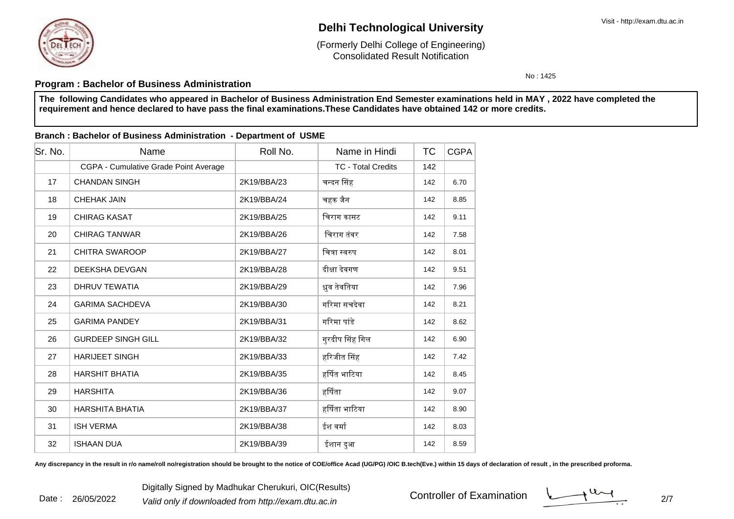Consolidated Result Notification(Formerly Delhi College of Engineering)

No : 1425

## **Program : Bachelor of Business Administration**

 **The following Candidates who appeared in Bachelor of Business Administration End Semester examinations held in MAY , 2022 have completed therequirement and hence declared to have pass the final examinations.These Candidates have obtained 142 or more credits.**

### **Branch : Bachelor of Business Administration - Department of USME**

| lSr. No. | Name                                  | Roll No.    | Name in Hindi             | ТC  | <b>CGPA</b> |
|----------|---------------------------------------|-------------|---------------------------|-----|-------------|
|          | CGPA - Cumulative Grade Point Average |             | <b>TC - Total Credits</b> | 142 |             |
| 17       | <b>CHANDAN SINGH</b>                  | 2K19/BBA/23 | चन्दन सिंह                | 142 | 6.70        |
| 18       | <b>CHEHAK JAIN</b>                    | 2K19/BBA/24 | चहक जैन                   | 142 | 8.85        |
| 19       | <b>CHIRAG KASAT</b>                   | 2K19/BBA/25 | चिराग कासट                | 142 | 9.11        |
| 20       | <b>CHIRAG TANWAR</b>                  | 2K19/BBA/26 | चिराग तंवर                | 142 | 7.58        |
| 21       | <b>CHITRA SWAROOP</b>                 | 2K19/BBA/27 | चित्रा स्वरुप             | 142 | 8.01        |
| 22       | DEEKSHA DEVGAN                        | 2K19/BBA/28 | दीक्षा देवगण              | 142 | 9.51        |
| 23       | DHRUV TEWATIA                         | 2K19/BBA/29 | ध्रुव तेवतिया             | 142 | 7.96        |
| 24       | <b>GARIMA SACHDEVA</b>                | 2K19/BBA/30 | गरिमा सचदेवा              | 142 | 8.21        |
| 25       | <b>GARIMA PANDEY</b>                  | 2K19/BBA/31 | गरिमा पांडे               | 142 | 8.62        |
| 26       | <b>GURDEEP SINGH GILL</b>             | 2K19/BBA/32 | गुरदीप सिंह गिल           | 142 | 6.90        |
| 27       | <b>HARIJEET SINGH</b>                 | 2K19/BBA/33 | हरिजीत सिंह               | 142 | 7.42        |
| 28       | <b>HARSHIT BHATIA</b>                 | 2K19/BBA/35 | हर्षित भाटिया             | 142 | 8.45        |
| 29       | <b>HARSHITA</b>                       | 2K19/BBA/36 | हर्षिता                   | 142 | 9.07        |
| 30       | <b>HARSHITA BHATIA</b>                | 2K19/BBA/37 | हर्षिता भाटिया            | 142 | 8.90        |
| 31       | <b>ISH VERMA</b>                      | 2K19/BBA/38 | ईश वर्मा                  | 142 | 8.03        |
| 32       | <b>ISHAAN DUA</b>                     | 2K19/BBA/39 | ईशान दुआ                  | 142 | 8.59        |

Any discrepancy in the result in r/o name/roll no/registration should be brought to the notice of COE/office Acad (UG/PG) /OIC B.tech(Eve.) within 15 days of declaration of result, in the prescribed proforma.

 $\frac{1}{27}$   $\frac{1}{27}$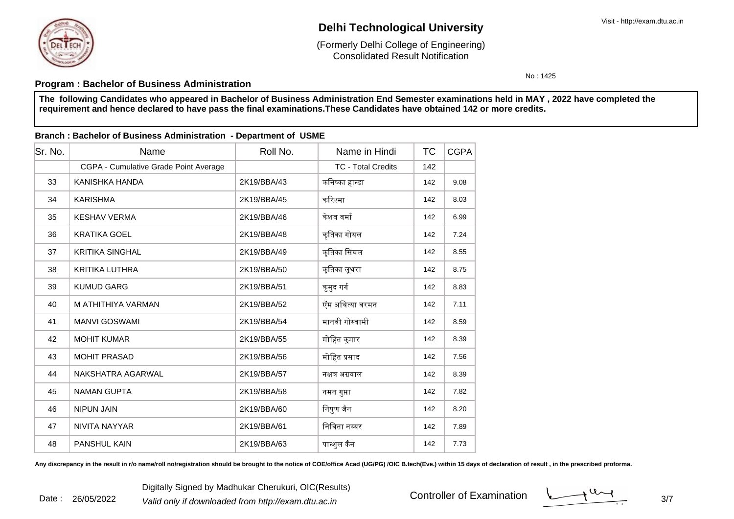

Consolidated Result Notification(Formerly Delhi College of Engineering)

No : 1425

## **Program : Bachelor of Business Administration**

 **The following Candidates who appeared in Bachelor of Business Administration End Semester examinations held in MAY , 2022 have completed therequirement and hence declared to have pass the final examinations.These Candidates have obtained 142 or more credits.**

### **Branch : Bachelor of Business Administration - Department of USME**

| lSr. No. | Name                                  | Roll No.    | Name in Hindi             | ТC  | <b>CGPA</b> |
|----------|---------------------------------------|-------------|---------------------------|-----|-------------|
|          | CGPA - Cumulative Grade Point Average |             | <b>TC - Total Credits</b> | 142 |             |
| 33       | KANISHKA HANDA                        | 2K19/BBA/43 | कनिष्का हान्डा            | 142 | 9.08        |
| 34       | <b>KARISHMA</b>                       | 2K19/BBA/45 | करिश्मा                   | 142 | 8.03        |
| 35       | <b>KESHAV VERMA</b>                   | 2K19/BBA/46 | केशव वर्मा                | 142 | 6.99        |
| 36       | <b>KRATIKA GOEL</b>                   | 2K19/BBA/48 | कृतिका गोयल               | 142 | 7.24        |
| 37       | <b>KRITIKA SINGHAL</b>                | 2K19/BBA/49 | कृतिका सिंघल              | 142 | 8.55        |
| 38       | <b>KRITIKA LUTHRA</b>                 | 2K19/BBA/50 | कृतिका लूथरा              | 142 | 8.75        |
| 39       | <b>KUMUD GARG</b>                     | 2K19/BBA/51 | कुमुद गर्ग                | 142 | 8.83        |
| 40       | M ATHITHIYA VARMAN                    | 2K19/BBA/52 | ऍम अथित्या वरमन           | 142 | 7.11        |
| 41       | <b>MANVI GOSWAMI</b>                  | 2K19/BBA/54 | मानवी गोस्वामी            | 142 | 8.59        |
| 42       | <b>MOHIT KUMAR</b>                    | 2K19/BBA/55 | मोहित कुमार               | 142 | 8.39        |
| 43       | <b>MOHIT PRASAD</b>                   | 2K19/BBA/56 | मोहित प्रसाद              | 142 | 7.56        |
| 44       | NAKSHATRA AGARWAL                     | 2K19/BBA/57 | नक्षत्र अग्रवाल           | 142 | 8.39        |
| 45       | <b>NAMAN GUPTA</b>                    | 2K19/BBA/58 | नमन गुप्ता                | 142 | 7.82        |
| 46       | <b>NIPUN JAIN</b>                     | 2K19/BBA/60 | निपुण जैन                 | 142 | 8.20        |
| 47       | NIVITA NAYYAR                         | 2K19/BBA/61 | निविता नय्यर              | 142 | 7.89        |
| 48       | <b>PANSHUL KAIN</b>                   | 2K19/BBA/63 | पान्शुल कैन               | 142 | 7.73        |

Any discrepancy in the result in r/o name/roll no/registration should be brought to the notice of COE/office Acad (UG/PG) /OIC B.tech(Eve.) within 15 days of declaration of result, in the prescribed proforma.

Digitally Signed by Madhukar Cherukuri, OIC(Results)<br><sup>2</sup> Valid only if downloaded from http://exam.dtu.ac.in Controller of Examination Date : 26/05/2022

 $\frac{3}{7}$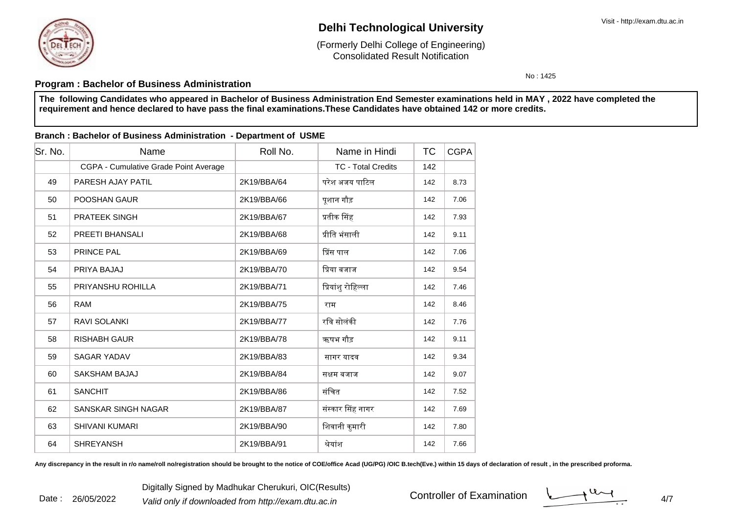

Consolidated Result Notification(Formerly Delhi College of Engineering)

No : 1425

## **Program : Bachelor of Business Administration**

 **The following Candidates who appeared in Bachelor of Business Administration End Semester examinations held in MAY , 2022 have completed therequirement and hence declared to have pass the final examinations.These Candidates have obtained 142 or more credits.**

### **Branch : Bachelor of Business Administration - Department of USME**

| Sr. No. | Name                                  | Roll No.    | Name in Hindi             | ТC  | <b>CGPA</b> |
|---------|---------------------------------------|-------------|---------------------------|-----|-------------|
|         | CGPA - Cumulative Grade Point Average |             | <b>TC - Total Credits</b> | 142 |             |
| 49      | PARESH AJAY PATIL                     | 2K19/BBA/64 | परेश अजय पाटिल            | 142 | 8.73        |
| 50      | <b>POOSHAN GAUR</b>                   | 2K19/BBA/66 | पूशान गौड़                | 142 | 7.06        |
| 51      | <b>PRATEEK SINGH</b>                  | 2K19/BBA/67 | प्रतीक सिंह               | 142 | 7.93        |
| 52      | <b>PREETI BHANSALI</b>                | 2K19/BBA/68 | प्रीति भंसाली             | 142 | 9.11        |
| 53      | <b>PRINCE PAL</b>                     | 2K19/BBA/69 | प्रिंस पाल                | 142 | 7.06        |
| 54      | PRIYA BAJAJ                           | 2K19/BBA/70 | प्रिया बजाज               | 142 | 9.54        |
| 55      | PRIYANSHU ROHILLA                     | 2K19/BBA/71 | प्रियांशु रोहिल्ला        | 142 | 7.46        |
| 56      | <b>RAM</b>                            | 2K19/BBA/75 | राम                       | 142 | 8.46        |
| 57      | <b>RAVI SOLANKI</b>                   | 2K19/BBA/77 | रवि सोलंकी                | 142 | 7.76        |
| 58      | <b>RISHABH GAUR</b>                   | 2K19/BBA/78 | ऋषभ गौड़                  | 142 | 9.11        |
| 59      | <b>SAGAR YADAV</b>                    | 2K19/BBA/83 | सागर यादव                 | 142 | 9.34        |
| 60      | SAKSHAM BAJAJ                         | 2K19/BBA/84 | सक्षम बजाज                | 142 | 9.07        |
| 61      | <b>SANCHIT</b>                        | 2K19/BBA/86 | संचित                     | 142 | 7.52        |
| 62      | <b>SANSKAR SINGH NAGAR</b>            | 2K19/BBA/87 | संस्कार सिंह नागर         | 142 | 7.69        |
| 63      | <b>SHIVANI KUMARI</b>                 | 2K19/BBA/90 | शिवानी कुमारी             | 142 | 7.80        |
| 64      | <b>SHREYANSH</b>                      | 2K19/BBA/91 | श्रेयांश                  | 142 | 7.66        |

Any discrepancy in the result in r/o name/roll no/registration should be brought to the notice of COE/office Acad (UG/PG) /OIC B.tech(Eve.) within 15 days of declaration of result, in the prescribed proforma.

Digitally Signed by Madhukar Cherukuri, OIC(Results)<br><sup>2</sup> Valid only if downloaded from http://exam.dtu.ac.in discussed and the controller of Examination discussed and Date : 26/05/2022

 $4/7$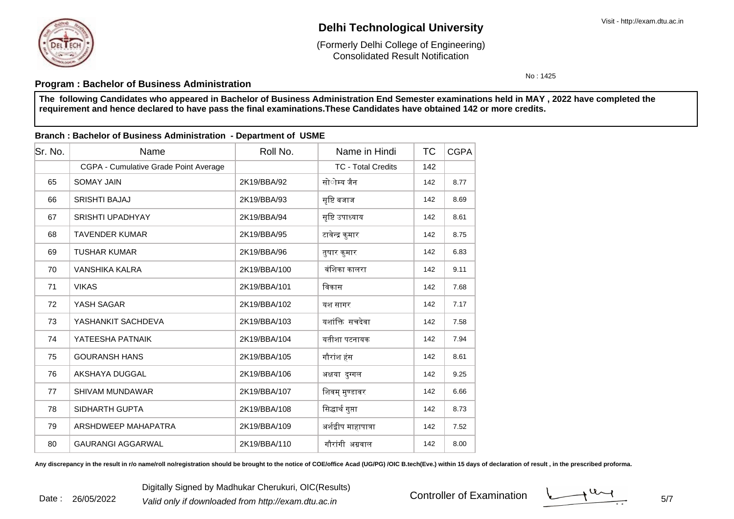

Consolidated Result Notification(Formerly Delhi College of Engineering)

No : 1425

## **Program : Bachelor of Business Administration**

 **The following Candidates who appeared in Bachelor of Business Administration End Semester examinations held in MAY , 2022 have completed therequirement and hence declared to have pass the final examinations.These Candidates have obtained 142 or more credits.**

### **Branch : Bachelor of Business Administration - Department of USME**

| lSr. No. | Name                                  | Roll No.     | Name in Hindi             | ТC  | <b>CGPA</b> |
|----------|---------------------------------------|--------------|---------------------------|-----|-------------|
|          | CGPA - Cumulative Grade Point Average |              | <b>TC - Total Credits</b> | 142 |             |
| 65       | <b>SOMAY JAIN</b>                     | 2K19/BBA/92  | सोाेम्य जैन               | 142 | 8.77        |
| 66       | <b>SRISHTI BAJAJ</b>                  | 2K19/BBA/93  | सृष्टि बजाज               | 142 | 8.69        |
| 67       | <b>SRISHTI UPADHYAY</b>               | 2K19/BBA/94  | सृष्टि उपाध्याय           | 142 | 8.61        |
| 68       | <b>TAVENDER KUMAR</b>                 | 2K19/BBA/95  | टावेन्द्र कुमार           | 142 | 8.75        |
| 69       | <b>TUSHAR KUMAR</b>                   | 2K19/BBA/96  | तुषार कुमार               | 142 | 6.83        |
| 70       | <b>VANSHIKA KALRA</b>                 | 2K19/BBA/100 | वंशिका कालरा              | 142 | 9.11        |
| 71       | <b>VIKAS</b>                          | 2K19/BBA/101 | विकास                     | 142 | 7.68        |
| 72       | YASH SAGAR                            | 2K19/BBA/102 | यश सागर                   | 142 | 7.17        |
| 73       | YASHANKIT SACHDEVA                    | 2K19/BBA/103 | यशांक्ति सचदेवा           | 142 | 7.58        |
| 74       | YATEESHA PATNAIK                      | 2K19/BBA/104 | यतीशा पटनायक              | 142 | 7.94        |
| 75       | <b>GOURANSH HANS</b>                  | 2K19/BBA/105 | गौरांश हंस                | 142 | 8.61        |
| 76       | AKSHAYA DUGGAL                        | 2K19/BBA/106 | अक्षया दुग्गल             | 142 | 9.25        |
| 77       | <b>SHIVAM MUNDAWAR</b>                | 2K19/BBA/107 | शिवम् मुण्डावर            | 142 | 6.66        |
| 78       | SIDHARTH GUPTA                        | 2K19/BBA/108 | सिद्धार्थ गुप्ता          | 142 | 8.73        |
| 79       | ARSHDWEEP MAHAPATRA                   | 2K19/BBA/109 | अर्शद्वीप माहापात्रा      | 142 | 7.52        |
| 80       | <b>GAURANGI AGGARWAL</b>              | 2K19/BBA/110 | गौरांगी अग्रवाल           | 142 | 8.00        |

Any discrepancy in the result in r/o name/roll no/registration should be brought to the notice of COE/office Acad (UG/PG) /OIC B.tech(Eve.) within 15 days of declaration of result, in the prescribed proforma.

 $\frac{1}{1}$  5/7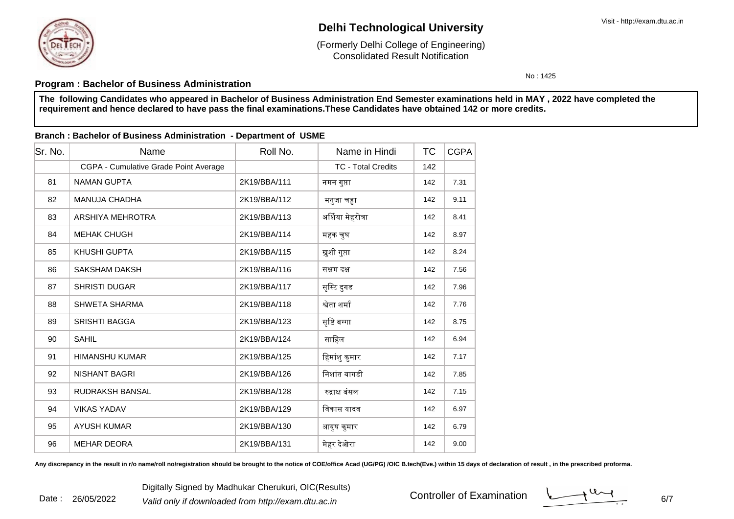

Consolidated Result Notification(Formerly Delhi College of Engineering)

No : 1425

## **Program : Bachelor of Business Administration**

 **The following Candidates who appeared in Bachelor of Business Administration End Semester examinations held in MAY , 2022 have completed therequirement and hence declared to have pass the final examinations.These Candidates have obtained 142 or more credits.**

#### **Branch : Bachelor of Business Administration - Department of USME**

| Sr. No. | Name                                  | Roll No.     | Name in Hindi             | ТC  | CGPA |
|---------|---------------------------------------|--------------|---------------------------|-----|------|
|         | CGPA - Cumulative Grade Point Average |              | <b>TC - Total Credits</b> | 142 |      |
| 81      | <b>NAMAN GUPTA</b>                    | 2K19/BBA/111 | नमन गुप्ता                | 142 | 7.31 |
| 82      | <b>MANUJA CHADHA</b>                  | 2K19/BBA/112 | मनुजा चड़ा                | 142 | 9.11 |
| 83      | ARSHIYA MEHROTRA                      | 2K19/BBA/113 | अर्शिया मेहरोत्रा         | 142 | 8.41 |
| 84      | <b>MEHAK CHUGH</b>                    | 2K19/BBA/114 | महक चुघ                   | 142 | 8.97 |
| 85      | KHUSHI GUPTA                          | 2K19/BBA/115 | ख़ुशी गुप्ता              | 142 | 8.24 |
| 86      | <b>SAKSHAM DAKSH</b>                  | 2K19/BBA/116 | सक्षम दक्ष                | 142 | 7.56 |
| 87      | <b>SHRISTI DUGAR</b>                  | 2K19/BBA/117 | सृस्टि दुगड               | 142 | 7.96 |
| 88      | <b>SHWETA SHARMA</b>                  | 2K19/BBA/118 | श्वेता शर्मा              | 142 | 7.76 |
| 89      | <b>SRISHTI BAGGA</b>                  | 2K19/BBA/123 | सृष्टि बग्गा              | 142 | 8.75 |
| 90      | <b>SAHIL</b>                          | 2K19/BBA/124 | साहिल                     | 142 | 6.94 |
| 91      | <b>HIMANSHU KUMAR</b>                 | 2K19/BBA/125 | हिमांशु कुमार             | 142 | 7.17 |
| 92      | <b>NISHANT BAGRI</b>                  | 2K19/BBA/126 | निशांत बागडी              | 142 | 7.85 |
| 93      | RUDRAKSH BANSAL                       | 2K19/BBA/128 | रुद्राक्ष बंसल            | 142 | 7.15 |
| 94      | <b>VIKAS YADAV</b>                    | 2K19/BBA/129 | विकास यादव                | 142 | 6.97 |
| 95      | <b>AYUSH KUMAR</b>                    | 2K19/BBA/130 | आयुष कुमार                | 142 | 6.79 |
| 96      | <b>MEHAR DEORA</b>                    | 2K19/BBA/131 | मेहर देओरा                | 142 | 9.00 |

Any discrepancy in the result in r/o name/roll no/registration should be brought to the notice of COE/office Acad (UG/PG) /OIC B.tech(Eve.) within 15 days of declaration of result, in the prescribed proforma.

Digitally Signed by Madhukar Cherukuri, OIC(Results)<br><sup>2</sup> Valid only if downloaded from http://exam.dtu.ac.in 6/ Date : 26/05/2022

 $\sim$  6/7